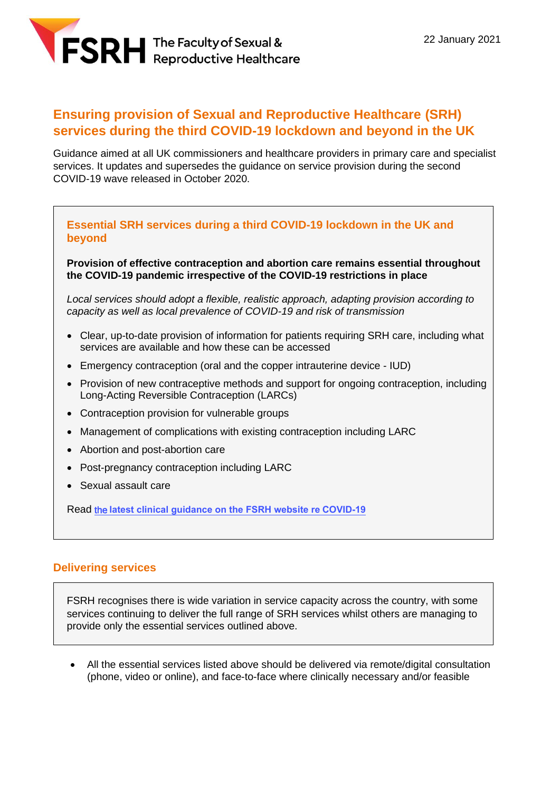

# **Ensuring provision of Sexual and Reproductive Healthcare (SRH) services during the third COVID-19 lockdown and beyond in the UK**

Guidance aimed at all UK commissioners and healthcare providers in primary care and specialist services. It updates and supersedes the guidance on service provision during the second COVID-19 wave released in October 2020.

#### **Essential SRH services during a third COVID-19 lockdown in the UK and beyond**

**Provision of effective contraception and abortion care remains essential throughout the COVID-19 pandemic irrespective of the COVID-19 restrictions in place**

*Local services should adopt a flexible, realistic approach, adapting provision according to capacity as well as local prevalence of COVID-19 and risk of transmission*

- Clear, up-to-date provision of information for patients requiring SRH care, including what services are available and how these can be accessed
- Emergency contraception (oral and the copper intrauterine device IUD)
- Provision of new contraceptive methods and support for ongoing contraception, including Long-Acting Reversible Contraception (LARCs)
- Contraception provision for vulnerable groups
- Management of complications with existing contraception including LARC
- Abortion and post-abortion care
- Post-pregnancy contraception including LARC
- Sexual assault care

Read the **[latest clinical guidance on the FSRH website re](https://www.fsrh.org/fsrh-and-covid-19-resources-and-information-for-srh/) COVID-19**

### **Delivering services**

FSRH recognises there is wide variation in service capacity across the country, with some services continuing to deliver the full range of SRH services whilst others are managing to provide only the essential services outlined above.

• All the essential services listed above should be delivered via remote/digital consultation (phone, video or online), and face-to-face where clinically necessary and/or feasible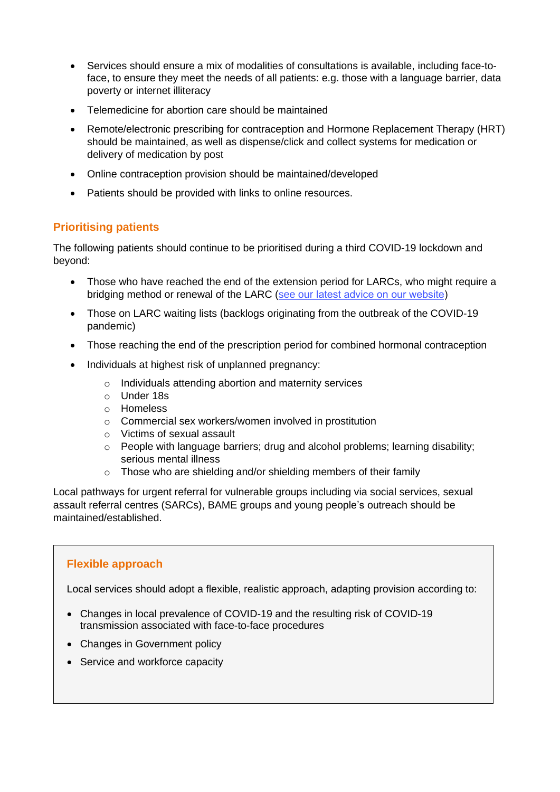- Services should ensure a mix of modalities of consultations is available, including face-toface, to ensure they meet the needs of all patients: e.g. those with a language barrier, data poverty or internet illiteracy
- Telemedicine for abortion care should be maintained
- Remote/electronic prescribing for contraception and Hormone Replacement Therapy (HRT) should be maintained, as well as dispense/click and collect systems for medication or delivery of medication by post
- Online contraception provision should be maintained/developed
- Patients should be provided with links to online resources.

# **Prioritising patients**

The following patients should continue to be prioritised during a third COVID-19 lockdown and beyond:

- Those who have reached the end of the extension period for LARCs, who might require a bridging method or renewal of the LARC (see our [latest advice on our website\)](https://www.fsrh.org/fsrh-and-covid-19-resources-and-information-for-srh/)
- Those on LARC waiting lists (backlogs originating from the outbreak of the COVID-19 pandemic)
- Those reaching the end of the prescription period for combined hormonal contraception
- Individuals at highest risk of unplanned pregnancy:
	- o Individuals attending abortion and maternity services
	- o Under 18s
	- o Homeless
	- o Commercial sex workers/women involved in prostitution
	- o Victims of sexual assault
	- $\circ$  People with language barriers; drug and alcohol problems; learning disability; serious mental illness
	- o Those who are shielding and/or shielding members of their family

Local pathways for urgent referral for vulnerable groups including via social services, sexual assault referral centres (SARCs), BAME groups and young people's outreach should be maintained/established.

# **Flexible approach**

Local services should adopt a flexible, realistic approach, adapting provision according to:

- Changes in local prevalence of COVID-19 and the resulting risk of COVID-19 transmission associated with face-to-face procedures
- Changes in Government policy
- Service and workforce capacity